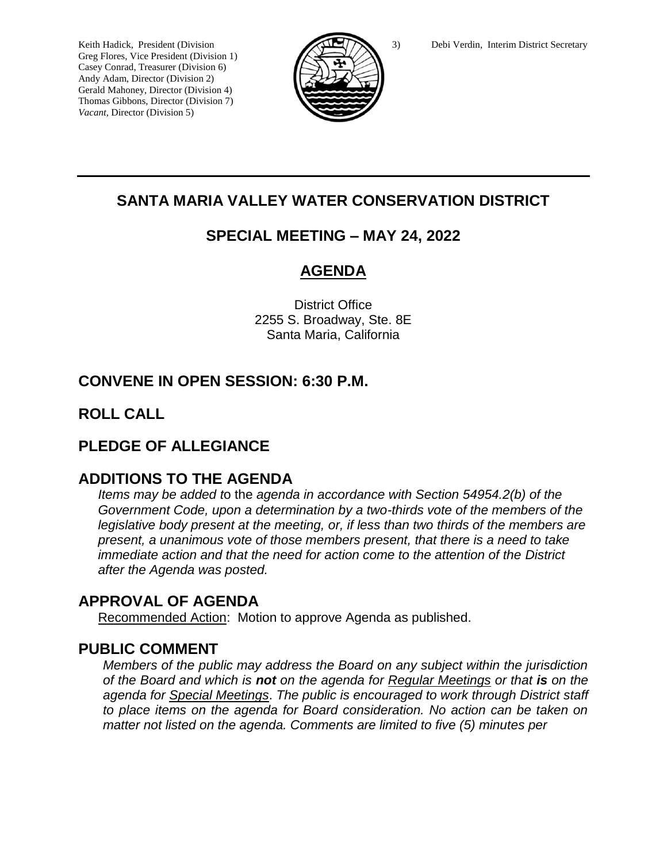Greg Flores, Vice President (Division 1) Casey Conrad, Treasurer (Division 6) Andy Adam, Director (Division 2) Gerald Mahoney, Director (Division 4) Thomas Gibbons, Director (Division 7) *Vacant,* Director (Division 5)



# **SANTA MARIA VALLEY WATER CONSERVATION DISTRICT**

## **SPECIAL MEETING – MAY 24, 2022**

# **AGENDA**

District Office 2255 S. Broadway, Ste. 8E Santa Maria, California

# **CONVENE IN OPEN SESSION: 6:30 P.M.**

## **ROLL CALL**

## **PLEDGE OF ALLEGIANCE**

### **ADDITIONS TO THE AGENDA**

*Items may be added t*o the *agenda in accordance with Section 54954.2(b) of the Government Code, upon a determination by a two-thirds vote of the members of the legislative body present at the meeting, or, if less than two thirds of the members are present, a unanimous vote of those members present, that there is a need to take immediate action and that the need for action come to the attention of the District after the Agenda was posted.* 

## **APPROVAL OF AGENDA**

Recommended Action: Motion to approve Agenda as published.

### **PUBLIC COMMENT**

*Members of the public may address the Board on any subject within the jurisdiction of the Board and which is not on the agenda for Regular Meetings or that is on the agenda for Special Meetings*. *The public is encouraged to work through District staff to place items on the agenda for Board consideration. No action can be taken on matter not listed on the agenda. Comments are limited to five (5) minutes per*